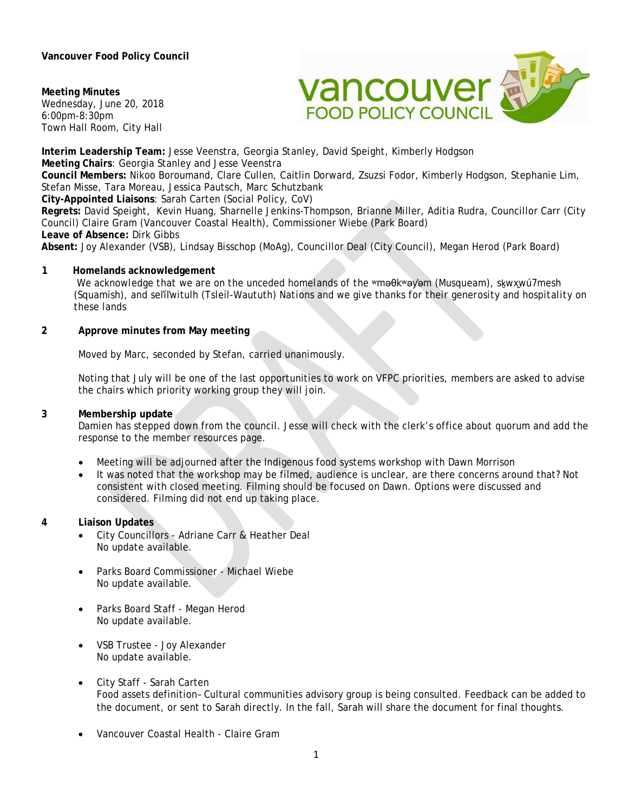**Vancouver Food Policy Council** 

**Meeting Minutes** Wednesday, June 20, 2018 6:00pm-8:30pm Town Hall Room, City Hall



**Interim Leadership Team:** Jesse Veenstra, Georgia Stanley, David Speight, Kimberly Hodgson **Meeting Chairs**: Georgia Stanley and Jesse Veenstra **Council Members:** Nikoo Boroumand, Clare Cullen, Caitlin Dorward, Zsuzsi Fodor, Kimberly Hodgson, Stephanie Lim, Stefan Misse, Tara Moreau, Jessica Pautsch, Marc Schutzbank **City-Appointed Liaisons**: Sarah Carten (Social Policy, CoV) **Regrets:** David Speight, Kevin Huang, Sharnelle Jenkins-Thompson, Brianne Miller, Aditia Rudra, Councillor Carr (City

Council) Claire Gram (Vancouver Coastal Health), Commissioner Wiebe (Park Board) **Leave of Absence:** Dirk Gibbs

**Absent:** Joy Alexander (VSB), Lindsay Bisschop (MoAg), Councillor Deal (City Council), Megan Herod (Park Board)

#### **1 Homelands acknowledgement**

*We acknowledge that we are on the unceded homelands of the* ʷməθkʷəy̓əm (Musqueam), sḵwx̱wú7mesh (Squamish), and sel̓íl̓witulh (Tsleil-Waututh) *Nations and we give thanks for their generosity and hospitality on these lands*

## **2 Approve minutes from May meeting**

Moved by Marc, seconded by Stefan, carried unanimously.

Noting that July will be one of the last opportunities to work on VFPC priorities, members are asked to advise the chairs which priority working group they will join.

#### **3 Membership update**

Damien has stepped down from the council. Jesse will check with the clerk's office about quorum and add the response to the member resources page.

- Meeting will be adjourned after the Indigenous food systems workshop with Dawn Morrison
- It was noted that the workshop may be filmed, audience is unclear, are there concerns around that? Not consistent with closed meeting. Filming should be focused on Dawn. Options were discussed and considered. Filming did not end up taking place.

#### **4 Liaison Updates**

- City Councillors Adriane Carr & Heather Deal No update available.
- Parks Board Commissioner Michael Wiebe No update available.
- Parks Board Staff Megan Herod No update available.
- VSB Trustee Joy Alexander No update available.
- City Staff Sarah Carten Food assets definition– Cultural communities advisory group is being consulted. Feedback can be added to the document, or sent to Sarah directly. In the fall, Sarah will share the document for final thoughts.
- Vancouver Coastal Health Claire Gram